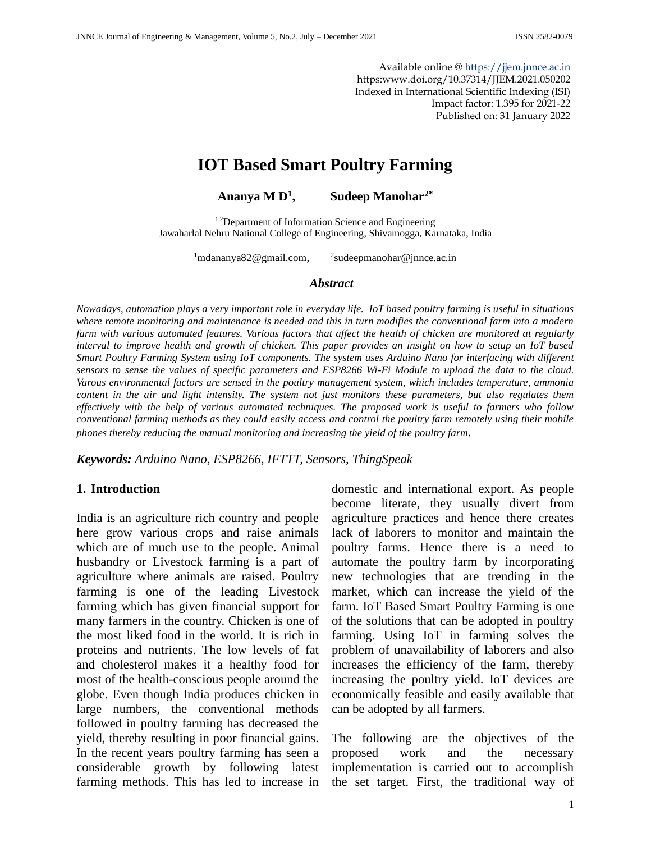Available online [@ https://jjem.jnnce.ac.in](https://jjem.jnnce.ac.in/) https:www.doi.org/10.37314/JJEM.2021.050202 Indexed in International Scientific Indexing (ISI) Impact factor: 1.395 for 2021-22 Published on: 31 January 2022

# **IOT Based Smart Poultry Farming**

**Ananya M D<sup>1</sup> , Sudeep Manohar2\***

<sup>1,2</sup>Department of Information Science and Engineering Jawaharlal Nehru National College of Engineering, Shivamogga, Karnataka, India

 $1$ mdananya $82@$ gmail.com,  $^{2}$ sudeepmanohar@jnnce.ac.in

#### *Abstract*

*Nowadays, automation plays a very important role in everyday life. IoT based poultry farming is useful in situations where remote monitoring and maintenance is needed and this in turn modifies the conventional farm into a modern farm with various automated features. Various factors that affect the health of chicken are monitored at regularly interval to improve health and growth of chicken. This paper provides an insight on how to setup an IoT based Smart Poultry Farming System using IoT components. The system uses Arduino Nano for interfacing with different sensors to sense the values of specific parameters and ESP8266 Wi-Fi Module to upload the data to the cloud. Varous environmental factors are sensed in the poultry management system, which includes temperature, ammonia content in the air and light intensity. The system not just monitors these parameters, but also regulates them effectively with the help of various automated techniques. The proposed work is useful to farmers who follow conventional farming methods as they could easily access and control the poultry farm remotely using their mobile phones thereby reducing the manual monitoring and increasing the yield of the poultry farm.*

*Keywords: Arduino Nano, ESP8266, IFTTT, Sensors, ThingSpeak*

#### **1. Introduction**

India is an agriculture rich country and people here grow various crops and raise animals which are of much use to the people. Animal husbandry or Livestock farming is a part of agriculture where animals are raised. Poultry farming is one of the leading Livestock farming which has given financial support for many farmers in the country. Chicken is one of the most liked food in the world. It is rich in proteins and nutrients. The low levels of fat and cholesterol makes it a healthy food for most of the health-conscious people around the globe. Even though India produces chicken in large numbers, the conventional methods followed in poultry farming has decreased the yield, thereby resulting in poor financial gains. In the recent years poultry farming has seen a considerable growth by following latest farming methods. This has led to increase in

domestic and international export. As people become literate, they usually divert from agriculture practices and hence there creates lack of laborers to monitor and maintain the poultry farms. Hence there is a need to automate the poultry farm by incorporating new technologies that are trending in the market, which can increase the yield of the farm. IoT Based Smart Poultry Farming is one of the solutions that can be adopted in poultry farming. Using IoT in farming solves the problem of unavailability of laborers and also increases the efficiency of the farm, thereby increasing the poultry yield. IoT devices are economically feasible and easily available that can be adopted by all farmers.

The following are the objectives of the proposed work and the necessary implementation is carried out to accomplish the set target. First, the traditional way of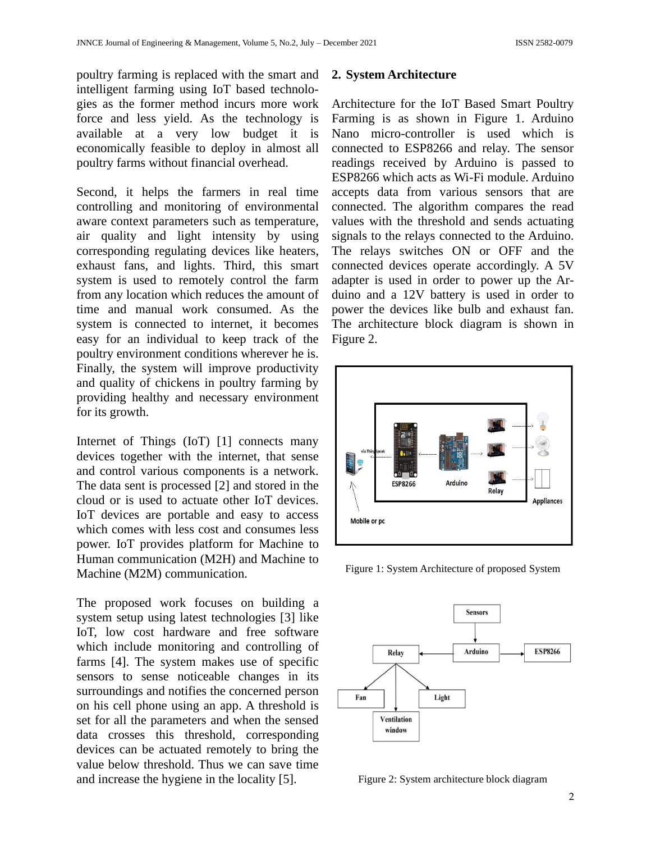poultry farming is replaced with the smart and intelligent farming using IoT based technologies as the former method incurs more work force and less yield. As the technology is available at a very low budget it is economically feasible to deploy in almost all poultry farms without financial overhead.

Second, it helps the farmers in real time controlling and monitoring of environmental aware context parameters such as temperature, air quality and light intensity by using corresponding regulating devices like heaters, exhaust fans, and lights. Third, this smart system is used to remotely control the farm from any location which reduces the amount of time and manual work consumed. As the system is connected to internet, it becomes easy for an individual to keep track of the poultry environment conditions wherever he is. Finally, the system will improve productivity and quality of chickens in poultry farming by providing healthy and necessary environment for its growth.

Internet of Things (IoT) [1] connects many devices together with the internet, that sense and control various components is a network. The data sent is processed [2] and stored in the cloud or is used to actuate other IoT devices. IoT devices are portable and easy to access which comes with less cost and consumes less power. IoT provides platform for Machine to Human communication (M2H) and Machine to Machine (M2M) communication.

The proposed work focuses on building a system setup using latest technologies [3] like IoT, low cost hardware and free software which include monitoring and controlling of farms [4]. The system makes use of specific sensors to sense noticeable changes in its surroundings and notifies the concerned person on his cell phone using an app. A threshold is set for all the parameters and when the sensed data crosses this threshold, corresponding devices can be actuated remotely to bring the value below threshold. Thus we can save time and increase the hygiene in the locality [5].

#### **2. System Architecture**

Architecture for the IoT Based Smart Poultry Farming is as shown in Figure 1. Arduino Nano micro-controller is used which is connected to ESP8266 and relay. The sensor readings received by Arduino is passed to ESP8266 which acts as Wi-Fi module. Arduino accepts data from various sensors that are connected. The algorithm compares the read values with the threshold and sends actuating signals to the relays connected to the Arduino. The relays switches ON or OFF and the connected devices operate accordingly. A 5V adapter is used in order to power up the Arduino and a 12V battery is used in order to power the devices like bulb and exhaust fan. The architecture block diagram is shown in Figure 2.



Figure 1: System Architecture of proposed System



Figure 2: System architecture block diagram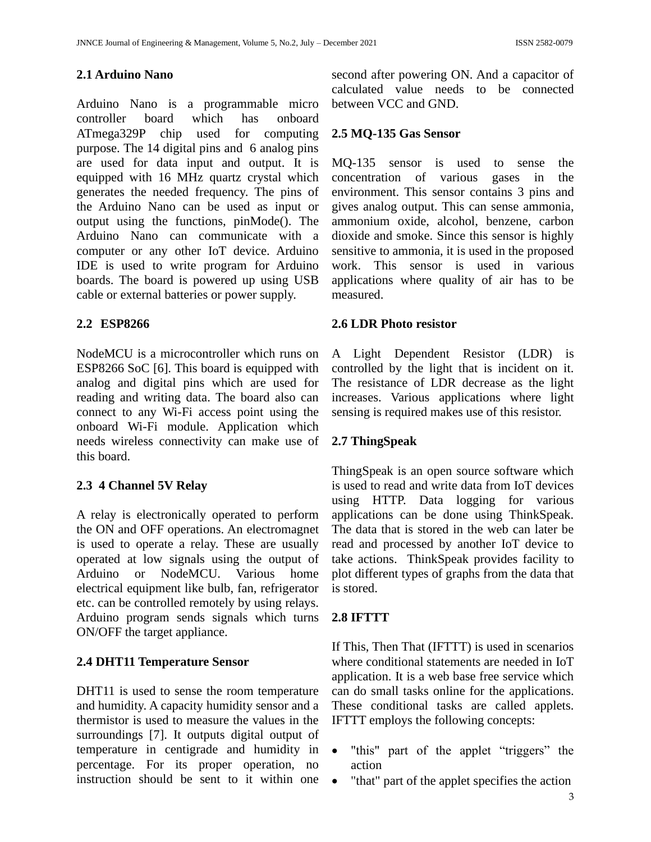### **2.1 Arduino Nano**

Arduino Nano is a programmable micro controller board which has onboard ATmega329P chip used for computing purpose. The 14 digital pins and 6 analog pins are used for data input and output. It is equipped with 16 MHz quartz crystal which generates the needed frequency. The pins of the Arduino Nano can be used as input or output using the functions, pinMode(). The Arduino Nano can communicate with a computer or any other IoT device. Arduino IDE is used to write program for Arduino boards. The board is powered up using USB cable or external batteries or power supply.

### **2.2 ESP8266**

NodeMCU is a microcontroller which runs on ESP8266 SoC [6]. This board is equipped with analog and digital pins which are used for reading and writing data. The board also can connect to any Wi-Fi access point using the onboard Wi-Fi module. Application which needs wireless connectivity can make use of this board.

# **2.3 4 Channel 5V Relay**

A relay is electronically operated to perform the ON and OFF operations. An electromagnet is used to operate a relay. These are usually operated at low signals using the output of Arduino or NodeMCU. Various home electrical equipment like bulb, fan, refrigerator etc. can be controlled remotely by using relays. Arduino program sends signals which turns ON/OFF the target appliance.

# **2.4 DHT11 Temperature Sensor**

DHT11 is used to sense the room temperature and humidity. A capacity humidity sensor and a thermistor is used to measure the values in the surroundings [7]. It outputs digital output of temperature in centigrade and humidity in percentage. For its proper operation, no instruction should be sent to it within one

second after powering ON. And a capacitor of calculated value needs to be connected between VCC and GND.

### **2.5 MQ-135 Gas Sensor**

MQ-135 sensor is used to sense the concentration of various gases in the environment. This sensor contains 3 pins and gives analog output. This can sense ammonia, ammonium oxide, alcohol, benzene, carbon dioxide and smoke. Since this sensor is highly sensitive to ammonia, it is used in the proposed work. This sensor is used in various applications where quality of air has to be measured.

### **2.6 LDR Photo resistor**

A Light Dependent Resistor (LDR) is controlled by the light that is incident on it. The resistance of LDR decrease as the light increases. Various applications where light sensing is required makes use of this resistor.

# **2.7 ThingSpeak**

ThingSpeak is an open source software which is used to read and write data from IoT devices using HTTP. Data logging for various applications can be done using ThinkSpeak. The data that is stored in the web can later be read and processed by another IoT device to take actions. ThinkSpeak provides facility to plot different types of graphs from the data that is stored.

# **2.8 IFTTT**

If This, Then That (IFTTT) is used in scenarios where conditional statements are needed in IoT application. It is a web base free service which can do small tasks online for the applications. These conditional tasks are called applets. IFTTT employs the following concepts:

- "this" part of the applet "triggers" the action
- "that" part of the applet specifies the action"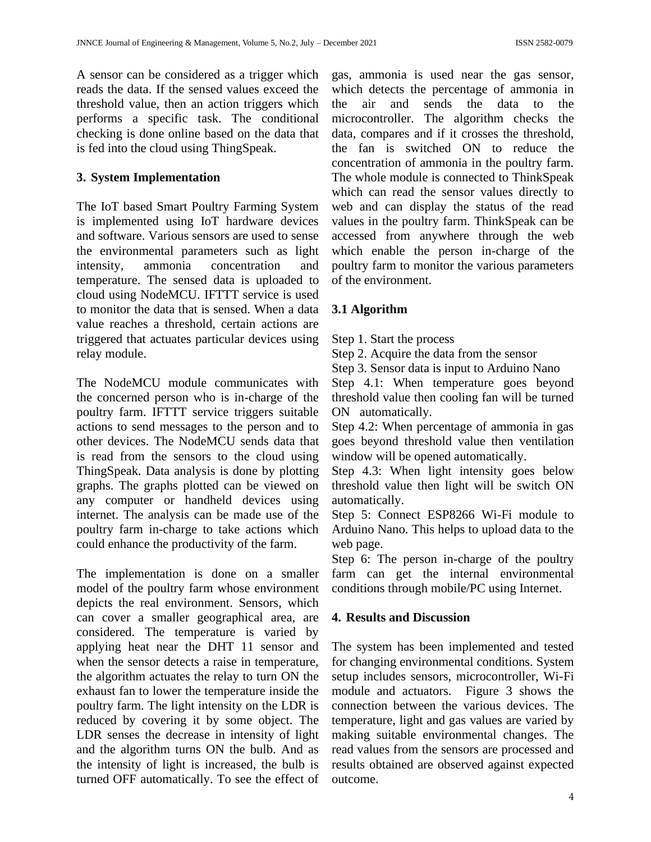A sensor can be considered as a trigger which reads the data. If the sensed values exceed the threshold value, then an action triggers which performs a specific task. The conditional checking is done online based on the data that is fed into the cloud using ThingSpeak.

### **3. System Implementation**

The IoT based Smart Poultry Farming System is implemented using IoT hardware devices and software. Various sensors are used to sense the environmental parameters such as light intensity, ammonia concentration and temperature. The sensed data is uploaded to cloud using NodeMCU. IFTTT service is used to monitor the data that is sensed. When a data value reaches a threshold, certain actions are triggered that actuates particular devices using relay module.

The NodeMCU module communicates with the concerned person who is in-charge of the poultry farm. IFTTT service triggers suitable actions to send messages to the person and to other devices. The NodeMCU sends data that is read from the sensors to the cloud using ThingSpeak. Data analysis is done by plotting graphs. The graphs plotted can be viewed on any computer or handheld devices using internet. The analysis can be made use of the poultry farm in-charge to take actions which could enhance the productivity of the farm.

The implementation is done on a smaller model of the poultry farm whose environment depicts the real environment. Sensors, which can cover a smaller geographical area, are considered. The temperature is varied by applying heat near the DHT 11 sensor and when the sensor detects a raise in temperature, the algorithm actuates the relay to turn ON the exhaust fan to lower the temperature inside the poultry farm. The light intensity on the LDR is reduced by covering it by some object. The LDR senses the decrease in intensity of light and the algorithm turns ON the bulb. And as the intensity of light is increased, the bulb is turned OFF automatically. To see the effect of

gas, ammonia is used near the gas sensor, which detects the percentage of ammonia in the air and sends the data to the microcontroller. The algorithm checks the data, compares and if it crosses the threshold, the fan is switched ON to reduce the concentration of ammonia in the poultry farm. The whole module is connected to ThinkSpeak which can read the sensor values directly to web and can display the status of the read values in the poultry farm. ThinkSpeak can be accessed from anywhere through the web which enable the person in-charge of the poultry farm to monitor the various parameters of the environment.

# **3.1 Algorithm**

Step 1. Start the process

Step 2. Acquire the data from the sensor

Step 3. Sensor data is input to Arduino Nano

Step 4.1: When temperature goes beyond threshold value then cooling fan will be turned ON automatically.

Step 4.2: When percentage of ammonia in gas goes beyond threshold value then ventilation window will be opened automatically.

Step 4.3: When light intensity goes below threshold value then light will be switch ON automatically.

Step 5: Connect ESP8266 Wi-Fi module to Arduino Nano. This helps to upload data to the web page.

Step 6: The person in-charge of the poultry farm can get the internal environmental conditions through mobile/PC using Internet.

# **4. Results and Discussion**

The system has been implemented and tested for changing environmental conditions. System setup includes sensors, microcontroller, Wi-Fi module and actuators. Figure 3 shows the connection between the various devices. The temperature, light and gas values are varied by making suitable environmental changes. The read values from the sensors are processed and results obtained are observed against expected outcome.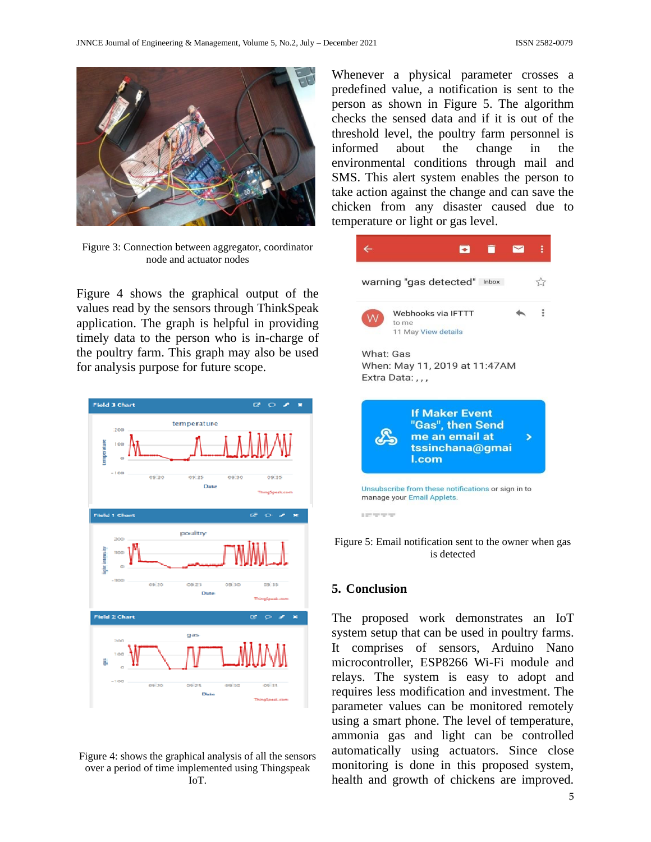

Figure 3: Connection between aggregator, coordinator node and actuator nodes

Figure 4 shows the graphical output of the values read by the sensors through ThinkSpeak application. The graph is helpful in providing timely data to the person who is in-charge of the poultry farm. This graph may also be used for analysis purpose for future scope.



Figure 4: shows the graphical analysis of all the sensors over a period of time implemented using Thingspeak IoT.

Whenever a physical parameter crosses a predefined value, a notification is sent to the person as shown in Figure 5. The algorithm checks the sensed data and if it is out of the threshold level, the poultry farm personnel is informed about the change in the environmental conditions through mail and SMS. This alert system enables the person to take action against the change and can save the chicken from any disaster caused due to temperature or light or gas level.



Figure 5: Email notification sent to the owner when gas is detected

#### **5. Conclusion**

The proposed work demonstrates an IoT system setup that can be used in poultry farms. It comprises of sensors, Arduino Nano microcontroller, ESP8266 Wi-Fi module and relays. The system is easy to adopt and requires less modification and investment. The parameter values can be monitored remotely using a smart phone. The level of temperature, ammonia gas and light can be controlled automatically using actuators. Since close monitoring is done in this proposed system, health and growth of chickens are improved.